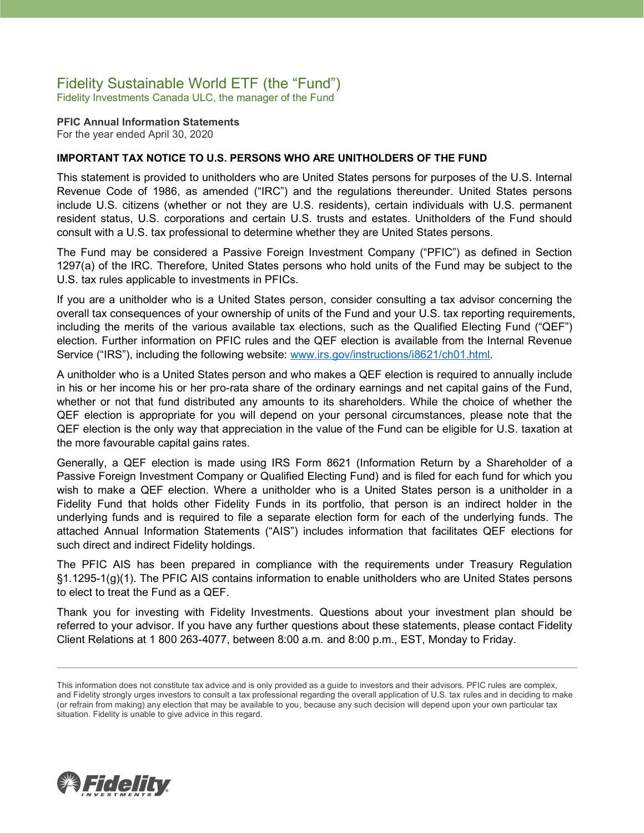# Fidelity Sustainable World ETF (the "Fund")

Fidelity Investments Canada ULC, the manager of the Fund

**PFIC Annual Information Statements** For the year ended April 30, 2020

### **IMPORTANT TAX NOTICE TO U.S. PERSONS WHO ARE UNITHOLDERS OF THE FUND**

This statement is provided to unitholders who are United States persons for purposes of the U.S. Internal Revenue Code of 1986, as amended ("IRC") and the regulations thereunder. United States persons include U.S. citizens (whether or not they are U.S. residents), certain individuals with U.S. permanent resident status, U.S. corporations and certain U.S. trusts and estates. Unitholders of the Fund should consult with a U.S. tax professional to determine whether they are United States persons.

The Fund may be considered a Passive Foreign Investment Company ("PFIC") as defined in Section 1297(a) of the IRC. Therefore, United States persons who hold units of the Fund may be subject to the U.S. tax rules applicable to investments in PFICs.

If you are a unitholder who is a United States person, consider consulting a tax advisor concerning the overall tax consequences of your ownership of units of the Fund and your U.S. tax reporting requirements, including the merits of the various available tax elections, such as the Qualified Electing Fund ("QEF") election. Further information on PFIC rules and the QEF election is available from the Internal Revenue Service ("IRS"), including the following website: [www.irs.gov/instructions/i8621/ch01.html.](http://www.irs.gov/instructions/i8621/ch01.html)

A unitholder who is a United States person and who makes a QEF election is required to annually include in his or her income his or her pro-rata share of the ordinary earnings and net capital gains of the Fund, whether or not that fund distributed any amounts to its shareholders. While the choice of whether the QEF election is appropriate for you will depend on your personal circumstances, please note that the QEF election is the only way that appreciation in the value of the Fund can be eligible for U.S. taxation at the more favourable capital gains rates.

Generally, a QEF election is made using IRS Form 8621 (Information Return by a Shareholder of a Passive Foreign Investment Company or Qualified Electing Fund) and is filed for each fund for which you wish to make a QEF election. Where a unitholder who is a United States person is a unitholder in a Fidelity Fund that holds other Fidelity Funds in its portfolio, that person is an indirect holder in the underlying funds and is required to file a separate election form for each of the underlying funds. The attached Annual Information Statements ("AIS") includes information that facilitates QEF elections for such direct and indirect Fidelity holdings.

The PFIC AIS has been prepared in compliance with the requirements under Treasury Regulation §1.1295-1(g)(1). The PFIC AIS contains information to enable unitholders who are United States persons to elect to treat the Fund as a QEF.

Thank you for investing with Fidelity Investments. Questions about your investment plan should be referred to your advisor. If you have any further questions about these statements, please contact Fidelity Client Relations at 1 800 263-4077, between 8:00 a.m. and 8:00 p.m., EST, Monday to Friday.



This information does not constitute tax advice and is only provided as a guide to investors and their advisors. PFIC rules are complex, and Fidelity strongly urges investors to consult a tax professional regarding the overall application of U.S. tax rules and in deciding to make (or refrain from making) any election that may be available to you, because any such decision will depend upon your own particular tax situation. Fidelity is unable to give advice in this regard.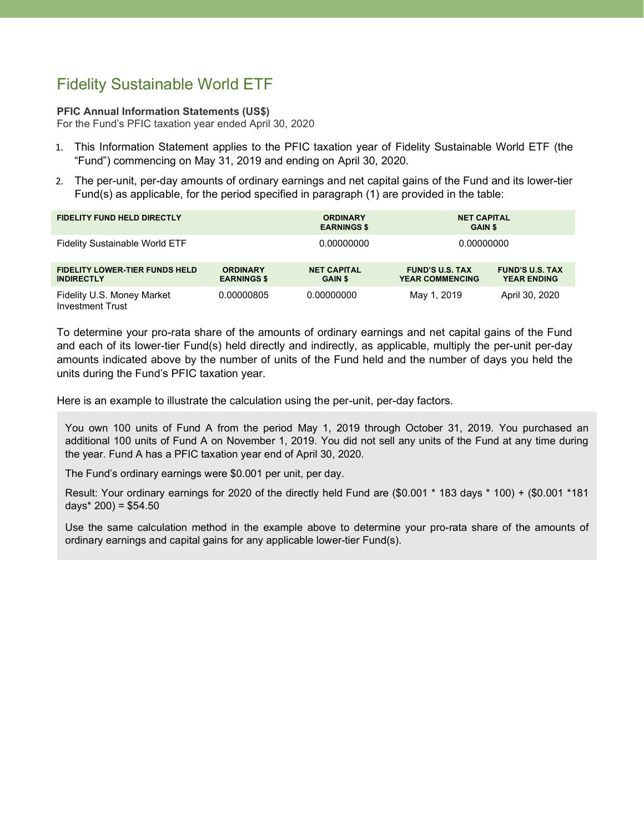# Fidelity Sustainable World ETF

#### **PFIC Annual Information Statements (US\$)**

For the Fund's PFIC taxation year ended April 30, 2020

- 1. This Information Statement applies to the PFIC taxation year of Fidelity Sustainable World ETF (the "Fund") commencing on May 31, 2019 and ending on April 30, 2020.
- 2. The per-unit, per-day amounts of ordinary earnings and net capital gains of the Fund and its lower-tier Fund(s) as applicable, for the period specified in paragraph (1) are provided in the table:

| <b>FIDELITY FUND HELD DIRECTLY</b>                         |                                       | <b>ORDINARY</b><br><b>EARNINGS \$</b> | <b>NET CAPITAL</b><br><b>GAIN \$</b>             |                                              |
|------------------------------------------------------------|---------------------------------------|---------------------------------------|--------------------------------------------------|----------------------------------------------|
| <b>Fidelity Sustainable World ETF</b>                      |                                       | 0.00000000                            | 0.00000000                                       |                                              |
| <b>FIDELITY LOWER-TIER FUNDS HELD</b><br><b>INDIRECTLY</b> | <b>ORDINARY</b><br><b>EARNINGS \$</b> | <b>NET CAPITAL</b><br><b>GAIN \$</b>  | <b>FUND'S U.S. TAX</b><br><b>YEAR COMMENCING</b> | <b>FUND'S U.S. TAX</b><br><b>YEAR ENDING</b> |
| Fidelity U.S. Money Market<br>Investment Trust             | 0.00000805                            | 0.00000000                            | May 1, 2019                                      | April 30, 2020                               |

To determine your pro-rata share of the amounts of ordinary earnings and net capital gains of the Fund and each of its lower-tier Fund(s) held directly and indirectly, as applicable, multiply the per-unit per-day amounts indicated above by the number of units of the Fund held and the number of days you held the units during the Fund's PFIC taxation year.

Here is an example to illustrate the calculation using the per-unit, per-day factors.

You own 100 units of Fund A from the period May 1, 2019 through October 31, 2019. You purchased an additional 100 units of Fund A on November 1, 2019. You did not sell any units of the Fund at any time during the year. Fund A has a PFIC taxation year end of April 30, 2020.

The Fund's ordinary earnings were \$0.001 per unit, per day.

Result: Your ordinary earnings for 2020 of the directly held Fund are (\$0.001 \* 183 days \* 100) + (\$0.001 \*181 days\*  $200$ ) = \$54.50

Use the same calculation method in the example above to determine your pro-rata share of the amounts of ordinary earnings and capital gains for any applicable lower-tier Fund(s).